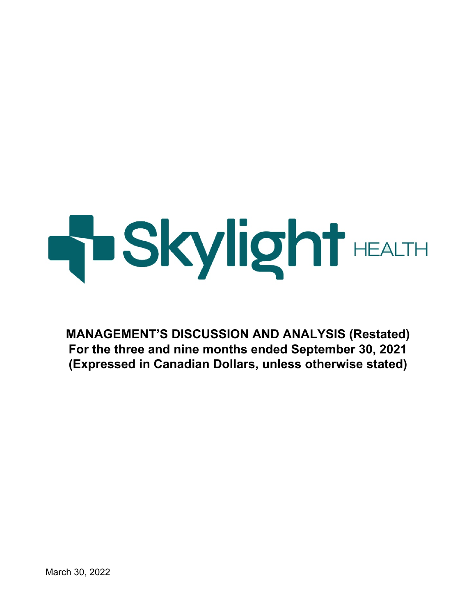# **HISkylight** HEALTH

**MANAGEMENT'S DISCUSSION AND ANALYSIS (Restated) For the three and nine months ended September 30, 2021 (Expressed in Canadian Dollars, unless otherwise stated)**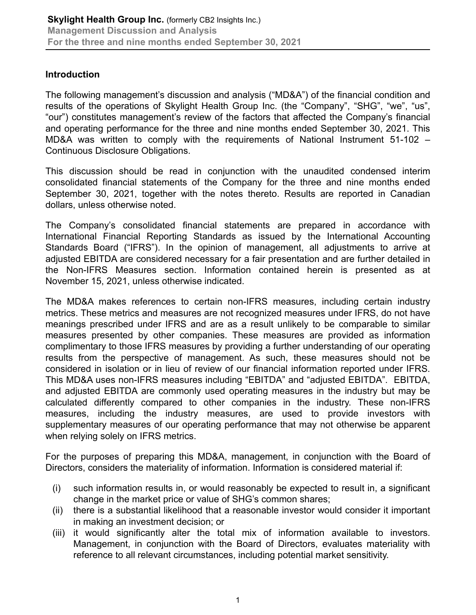# **Introduction**

The following management's discussion and analysis ("MD&A") of the financial condition and results of the operations of Skylight Health Group Inc. (the "Company", "SHG", "we", "us", "our") constitutes management's review of the factors that affected the Company's financial and operating performance for the three and nine months ended September 30, 2021. This MD&A was written to comply with the requirements of National Instrument 51-102 – Continuous Disclosure Obligations.

This discussion should be read in conjunction with the unaudited condensed interim consolidated financial statements of the Company for the three and nine months ended September 30, 2021, together with the notes thereto. Results are reported in Canadian dollars, unless otherwise noted.

The Company's consolidated financial statements are prepared in accordance with International Financial Reporting Standards as issued by the International Accounting Standards Board ("IFRS"). In the opinion of management, all adjustments to arrive at adjusted EBITDA are considered necessary for a fair presentation and are further detailed in the Non-IFRS Measures section. Information contained herein is presented as at November 15, 2021, unless otherwise indicated.

The MD&A makes references to certain non-IFRS measures, including certain industry metrics. These metrics and measures are not recognized measures under IFRS, do not have meanings prescribed under IFRS and are as a result unlikely to be comparable to similar measures presented by other companies. These measures are provided as information complimentary to those IFRS measures by providing a further understanding of our operating results from the perspective of management. As such, these measures should not be considered in isolation or in lieu of review of our financial information reported under IFRS. This MD&A uses non-IFRS measures including "EBITDA" and "adjusted EBITDA". EBITDA, and adjusted EBITDA are commonly used operating measures in the industry but may be calculated differently compared to other companies in the industry. These non-IFRS measures, including the industry measures, are used to provide investors with supplementary measures of our operating performance that may not otherwise be apparent when relying solely on IFRS metrics.

For the purposes of preparing this MD&A, management, in conjunction with the Board of Directors, considers the materiality of information. Information is considered material if:

- (i) such information results in, or would reasonably be expected to result in, a significant change in the market price or value of SHG's common shares;
- (ii) there is a substantial likelihood that a reasonable investor would consider it important in making an investment decision; or
- (iii) it would significantly alter the total mix of information available to investors. Management, in conjunction with the Board of Directors, evaluates materiality with reference to all relevant circumstances, including potential market sensitivity.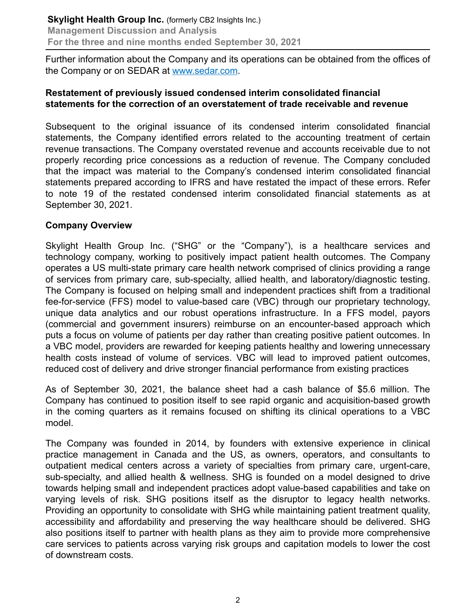Further information about the Company and its operations can be obtained from the offices of the Company or on SEDAR at www.sedar.com.

# **Restatement of previously issued condensed interim consolidated financial statements for the correction of an overstatement of trade receivable and revenue**

Subsequent to the original issuance of its condensed interim consolidated financial statements, the Company identified errors related to the accounting treatment of certain revenue transactions. The Company overstated revenue and accounts receivable due to not properly recording price concessions as a reduction of revenue. The Company concluded that the impact was material to the Company's condensed interim consolidated financial statements prepared according to IFRS and have restated the impact of these errors. Refer to note 19 of the restated condensed interim consolidated financial statements as at September 30, 2021.

#### **Company Overview**

Skylight Health Group Inc. ("SHG" or the "Company"), is a healthcare services and technology company, working to positively impact patient health outcomes. The Company operates a US multi-state primary care health network comprised of clinics providing a range of services from primary care, sub-specialty, allied health, and laboratory/diagnostic testing. The Company is focused on helping small and independent practices shift from a traditional fee-for-service (FFS) model to value-based care (VBC) through our proprietary technology, unique data analytics and our robust operations infrastructure. In a FFS model, payors (commercial and government insurers) reimburse on an encounter-based approach which puts a focus on volume of patients per day rather than creating positive patient outcomes. In a VBC model, providers are rewarded for keeping patients healthy and lowering unnecessary health costs instead of volume of services. VBC will lead to improved patient outcomes, reduced cost of delivery and drive stronger financial performance from existing practices

As of September 30, 2021, the balance sheet had a cash balance of \$5.6 million. The Company has continued to position itself to see rapid organic and acquisition-based growth in the coming quarters as it remains focused on shifting its clinical operations to a VBC model.

The Company was founded in 2014, by founders with extensive experience in clinical practice management in Canada and the US, as owners, operators, and consultants to outpatient medical centers across a variety of specialties from primary care, urgent-care, sub-specialty, and allied health & wellness. SHG is founded on a model designed to drive towards helping small and independent practices adopt value-based capabilities and take on varying levels of risk. SHG positions itself as the disruptor to legacy health networks. Providing an opportunity to consolidate with SHG while maintaining patient treatment quality, accessibility and affordability and preserving the way healthcare should be delivered. SHG also positions itself to partner with health plans as they aim to provide more comprehensive care services to patients across varying risk groups and capitation models to lower the cost of downstream costs.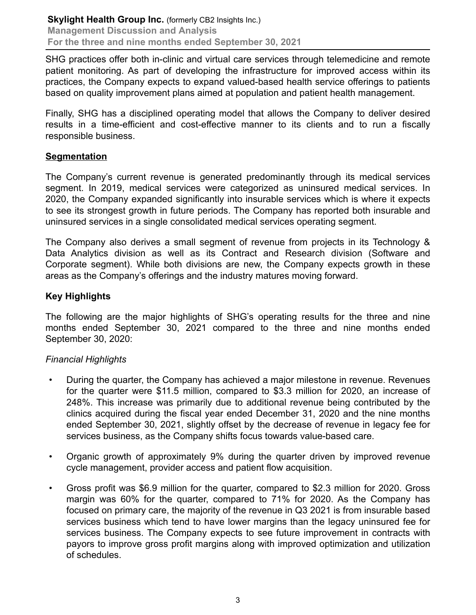SHG practices offer both in-clinic and virtual care services through telemedicine and remote patient monitoring. As part of developing the infrastructure for improved access within its practices, the Company expects to expand valued-based health service offerings to patients based on quality improvement plans aimed at population and patient health management.

Finally, SHG has a disciplined operating model that allows the Company to deliver desired results in a time-efficient and cost-effective manner to its clients and to run a fiscally responsible business.

#### **Segmentation**

The Company's current revenue is generated predominantly through its medical services segment. In 2019, medical services were categorized as uninsured medical services. In 2020, the Company expanded significantly into insurable services which is where it expects to see its strongest growth in future periods. The Company has reported both insurable and uninsured services in a single consolidated medical services operating segment.

The Company also derives a small segment of revenue from projects in its Technology & Data Analytics division as well as its Contract and Research division (Software and Corporate segment). While both divisions are new, the Company expects growth in these areas as the Company's offerings and the industry matures moving forward.

# **Key Highlights**

The following are the major highlights of SHG's operating results for the three and nine months ended September 30, 2021 compared to the three and nine months ended September 30, 2020:

#### *Financial Highlights*

- During the quarter, the Company has achieved a major milestone in revenue. Revenues for the quarter were \$11.5 million, compared to \$3.3 million for 2020, an increase of 248%. This increase was primarily due to additional revenue being contributed by the clinics acquired during the fiscal year ended December 31, 2020 and the nine months ended September 30, 2021, slightly offset by the decrease of revenue in legacy fee for services business, as the Company shifts focus towards value-based care.
- Organic growth of approximately 9% during the quarter driven by improved revenue cycle management, provider access and patient flow acquisition.
- Gross profit was \$6.9 million for the quarter, compared to \$2.3 million for 2020. Gross margin was 60% for the quarter, compared to 71% for 2020. As the Company has focused on primary care, the majority of the revenue in Q3 2021 is from insurable based services business which tend to have lower margins than the legacy uninsured fee for services business. The Company expects to see future improvement in contracts with payors to improve gross profit margins along with improved optimization and utilization of schedules.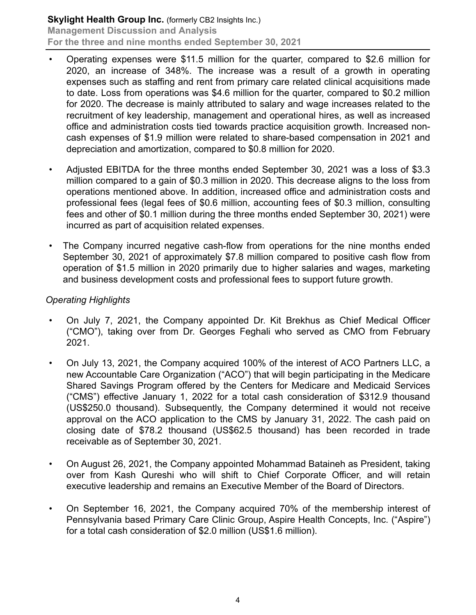- Operating expenses were \$11.5 million for the quarter, compared to \$2.6 million for 2020, an increase of 348%. The increase was a result of a growth in operating expenses such as staffing and rent from primary care related clinical acquisitions made to date. Loss from operations was \$4.6 million for the quarter, compared to \$0.2 million for 2020. The decrease is mainly attributed to salary and wage increases related to the recruitment of key leadership, management and operational hires, as well as increased office and administration costs tied towards practice acquisition growth. Increased noncash expenses of \$1.9 million were related to share-based compensation in 2021 and depreciation and amortization, compared to \$0.8 million for 2020.
- Adjusted EBITDA for the three months ended September 30, 2021 was a loss of \$3.3 million compared to a gain of \$0.3 million in 2020. This decrease aligns to the loss from operations mentioned above. In addition, increased office and administration costs and professional fees (legal fees of \$0.6 million, accounting fees of \$0.3 million, consulting fees and other of \$0.1 million during the three months ended September 30, 2021) were incurred as part of acquisition related expenses.
- The Company incurred negative cash-flow from operations for the nine months ended September 30, 2021 of approximately \$7.8 million compared to positive cash flow from operation of \$1.5 million in 2020 primarily due to higher salaries and wages, marketing and business development costs and professional fees to support future growth.

# *Operating Highlights*

- On July 7, 2021, the Company appointed Dr. Kit Brekhus as Chief Medical Officer ("CMO"), taking over from Dr. Georges Feghali who served as CMO from February 2021.
- On July 13, 2021, the Company acquired 100% of the interest of ACO Partners LLC, a new Accountable Care Organization ("ACO") that will begin participating in the Medicare Shared Savings Program offered by the Centers for Medicare and Medicaid Services ("CMS") effective January 1, 2022 for a total cash consideration of \$312.9 thousand (US\$250.0 thousand). Subsequently, the Company determined it would not receive approval on the ACO application to the CMS by January 31, 2022. The cash paid on closing date of \$78.2 thousand (US\$62.5 thousand) has been recorded in trade receivable as of September 30, 2021.
- On August 26, 2021, the Company appointed Mohammad Bataineh as President, taking over from Kash Qureshi who will shift to Chief Corporate Officer, and will retain executive leadership and remains an Executive Member of the Board of Directors.
- On September 16, 2021, the Company acquired 70% of the membership interest of Pennsylvania based Primary Care Clinic Group, Aspire Health Concepts, Inc. ("Aspire") for a total cash consideration of \$2.0 million (US\$1.6 million).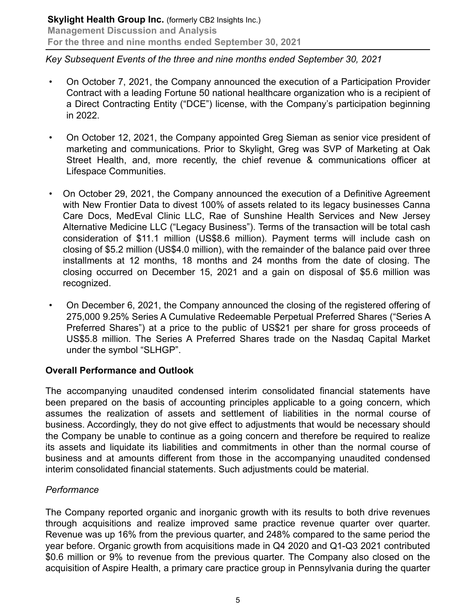# *Key Subsequent Events of the three and nine months ended September 30, 2021*

- On October 7, 2021, the Company announced the execution of a Participation Provider Contract with a leading Fortune 50 national healthcare organization who is a recipient of a Direct Contracting Entity ("DCE") license, with the Company's participation beginning in 2022.
- On October 12, 2021, the Company appointed Greg Sieman as senior vice president of marketing and communications. Prior to Skylight, Greg was SVP of Marketing at Oak Street Health, and, more recently, the chief revenue & communications officer at Lifespace Communities.
- On October 29, 2021, the Company announced the execution of a Definitive Agreement with New Frontier Data to divest 100% of assets related to its legacy businesses Canna Care Docs, MedEval Clinic LLC, Rae of Sunshine Health Services and New Jersey Alternative Medicine LLC ("Legacy Business"). Terms of the transaction will be total cash consideration of \$11.1 million (US\$8.6 million). Payment terms will include cash on closing of \$5.2 million (US\$4.0 million), with the remainder of the balance paid over three installments at 12 months, 18 months and 24 months from the date of closing. The closing occurred on December 15, 2021 and a gain on disposal of \$5.6 million was recognized.
- On December 6, 2021, the Company announced the closing of the registered offering of 275,000 9.25% Series A Cumulative Redeemable Perpetual Preferred Shares ("Series A Preferred Shares") at a price to the public of US\$21 per share for gross proceeds of US\$5.8 million. The Series A Preferred Shares trade on the Nasdaq Capital Market under the symbol "SLHGP".

# **Overall Performance and Outlook**

The accompanying unaudited condensed interim consolidated financial statements have been prepared on the basis of accounting principles applicable to a going concern, which assumes the realization of assets and settlement of liabilities in the normal course of business. Accordingly, they do not give effect to adjustments that would be necessary should the Company be unable to continue as a going concern and therefore be required to realize its assets and liquidate its liabilities and commitments in other than the normal course of business and at amounts different from those in the accompanying unaudited condensed interim consolidated financial statements. Such adjustments could be material.

# *Performance*

The Company reported organic and inorganic growth with its results to both drive revenues through acquisitions and realize improved same practice revenue quarter over quarter. Revenue was up 16% from the previous quarter, and 248% compared to the same period the year before. Organic growth from acquisitions made in Q4 2020 and Q1-Q3 2021 contributed \$0.6 million or 9% to revenue from the previous quarter. The Company also closed on the acquisition of Aspire Health, a primary care practice group in Pennsylvania during the quarter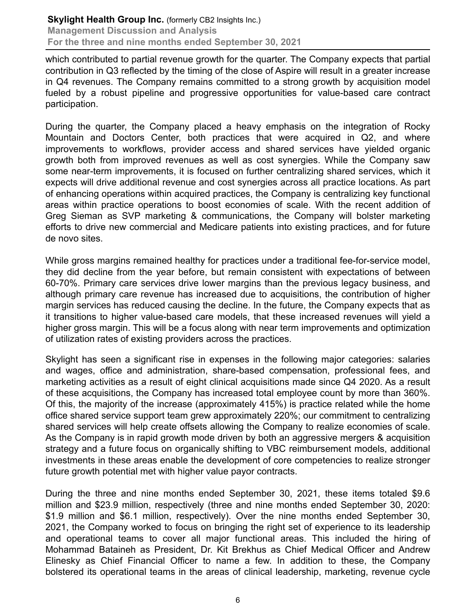which contributed to partial revenue growth for the quarter. The Company expects that partial contribution in Q3 reflected by the timing of the close of Aspire will result in a greater increase in Q4 revenues. The Company remains committed to a strong growth by acquisition model fueled by a robust pipeline and progressive opportunities for value-based care contract participation.

During the quarter, the Company placed a heavy emphasis on the integration of Rocky Mountain and Doctors Center, both practices that were acquired in Q2, and where improvements to workflows, provider access and shared services have yielded organic growth both from improved revenues as well as cost synergies. While the Company saw some near-term improvements, it is focused on further centralizing shared services, which it expects will drive additional revenue and cost synergies across all practice locations. As part of enhancing operations within acquired practices, the Company is centralizing key functional areas within practice operations to boost economies of scale. With the recent addition of Greg Sieman as SVP marketing & communications, the Company will bolster marketing efforts to drive new commercial and Medicare patients into existing practices, and for future de novo sites.

While gross margins remained healthy for practices under a traditional fee-for-service model, they did decline from the year before, but remain consistent with expectations of between 60-70%. Primary care services drive lower margins than the previous legacy business, and although primary care revenue has increased due to acquisitions, the contribution of higher margin services has reduced causing the decline. In the future, the Company expects that as it transitions to higher value-based care models, that these increased revenues will yield a higher gross margin. This will be a focus along with near term improvements and optimization of utilization rates of existing providers across the practices.

Skylight has seen a significant rise in expenses in the following major categories: salaries and wages, office and administration, share-based compensation, professional fees, and marketing activities as a result of eight clinical acquisitions made since Q4 2020. As a result of these acquisitions, the Company has increased total employee count by more than 360%. Of this, the majority of the increase (approximately 415%) is practice related while the home office shared service support team grew approximately 220%; our commitment to centralizing shared services will help create offsets allowing the Company to realize economies of scale. As the Company is in rapid growth mode driven by both an aggressive mergers & acquisition strategy and a future focus on organically shifting to VBC reimbursement models, additional investments in these areas enable the development of core competencies to realize stronger future growth potential met with higher value payor contracts.

During the three and nine months ended September 30, 2021, these items totaled \$9.6 million and \$23.9 million, respectively (three and nine months ended September 30, 2020: \$1.9 million and \$6.1 million, respectively). Over the nine months ended September 30, 2021, the Company worked to focus on bringing the right set of experience to its leadership and operational teams to cover all major functional areas. This included the hiring of Mohammad Bataineh as President, Dr. Kit Brekhus as Chief Medical Officer and Andrew Elinesky as Chief Financial Officer to name a few. In addition to these, the Company bolstered its operational teams in the areas of clinical leadership, marketing, revenue cycle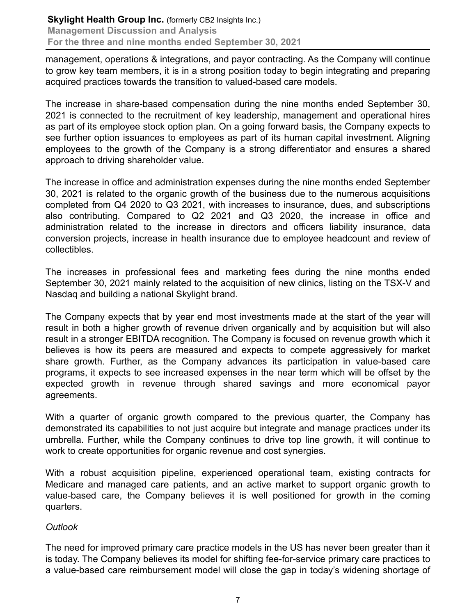management, operations & integrations, and payor contracting. As the Company will continue to grow key team members, it is in a strong position today to begin integrating and preparing acquired practices towards the transition to valued-based care models.

The increase in share-based compensation during the nine months ended September 30, 2021 is connected to the recruitment of key leadership, management and operational hires as part of its employee stock option plan. On a going forward basis, the Company expects to see further option issuances to employees as part of its human capital investment. Aligning employees to the growth of the Company is a strong differentiator and ensures a shared approach to driving shareholder value.

The increase in office and administration expenses during the nine months ended September 30, 2021 is related to the organic growth of the business due to the numerous acquisitions completed from Q4 2020 to Q3 2021, with increases to insurance, dues, and subscriptions also contributing. Compared to Q2 2021 and Q3 2020, the increase in office and administration related to the increase in directors and officers liability insurance, data conversion projects, increase in health insurance due to employee headcount and review of collectibles.

The increases in professional fees and marketing fees during the nine months ended September 30, 2021 mainly related to the acquisition of new clinics, listing on the TSX-V and Nasdaq and building a national Skylight brand.

The Company expects that by year end most investments made at the start of the year will result in both a higher growth of revenue driven organically and by acquisition but will also result in a stronger EBITDA recognition. The Company is focused on revenue growth which it believes is how its peers are measured and expects to compete aggressively for market share growth. Further, as the Company advances its participation in value-based care programs, it expects to see increased expenses in the near term which will be offset by the expected growth in revenue through shared savings and more economical payor agreements.

With a quarter of organic growth compared to the previous quarter, the Company has demonstrated its capabilities to not just acquire but integrate and manage practices under its umbrella. Further, while the Company continues to drive top line growth, it will continue to work to create opportunities for organic revenue and cost synergies.

With a robust acquisition pipeline, experienced operational team, existing contracts for Medicare and managed care patients, and an active market to support organic growth to value-based care, the Company believes it is well positioned for growth in the coming quarters.

# *Outlook*

The need for improved primary care practice models in the US has never been greater than it is today. The Company believes its model for shifting fee-for-service primary care practices to a value-based care reimbursement model will close the gap in today's widening shortage of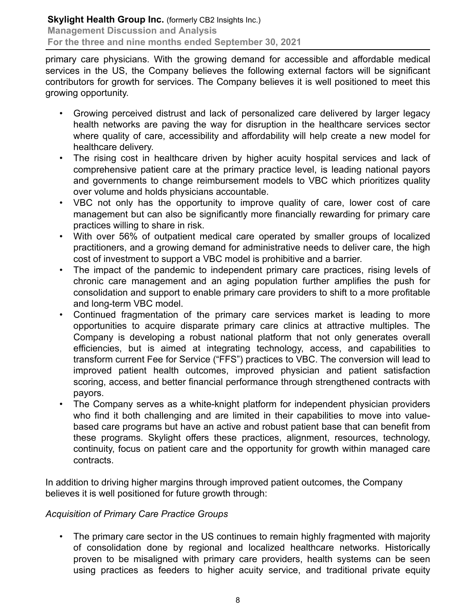primary care physicians. With the growing demand for accessible and affordable medical services in the US, the Company believes the following external factors will be significant contributors for growth for services. The Company believes it is well positioned to meet this growing opportunity.

- Growing perceived distrust and lack of personalized care delivered by larger legacy health networks are paving the way for disruption in the healthcare services sector where quality of care, accessibility and affordability will help create a new model for healthcare delivery.
- The rising cost in healthcare driven by higher acuity hospital services and lack of comprehensive patient care at the primary practice level, is leading national payors and governments to change reimbursement models to VBC which prioritizes quality over volume and holds physicians accountable.
- VBC not only has the opportunity to improve quality of care, lower cost of care management but can also be significantly more financially rewarding for primary care practices willing to share in risk.
- With over 56% of outpatient medical care operated by smaller groups of localized practitioners, and a growing demand for administrative needs to deliver care, the high cost of investment to support a VBC model is prohibitive and a barrier.
- The impact of the pandemic to independent primary care practices, rising levels of chronic care management and an aging population further amplifies the push for consolidation and support to enable primary care providers to shift to a more profitable and long-term VBC model.
- Continued fragmentation of the primary care services market is leading to more opportunities to acquire disparate primary care clinics at attractive multiples. The Company is developing a robust national platform that not only generates overall efficiencies, but is aimed at integrating technology, access, and capabilities to transform current Fee for Service ("FFS") practices to VBC. The conversion will lead to improved patient health outcomes, improved physician and patient satisfaction scoring, access, and better financial performance through strengthened contracts with payors.
- The Company serves as a white-knight platform for independent physician providers who find it both challenging and are limited in their capabilities to move into valuebased care programs but have an active and robust patient base that can benefit from these programs. Skylight offers these practices, alignment, resources, technology, continuity, focus on patient care and the opportunity for growth within managed care contracts.

In addition to driving higher margins through improved patient outcomes, the Company believes it is well positioned for future growth through:

# *Acquisition of Primary Care Practice Groups*

• The primary care sector in the US continues to remain highly fragmented with majority of consolidation done by regional and localized healthcare networks. Historically proven to be misaligned with primary care providers, health systems can be seen using practices as feeders to higher acuity service, and traditional private equity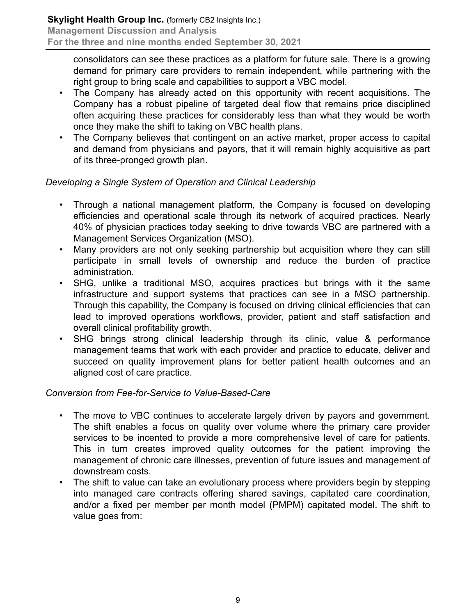consolidators can see these practices as a platform for future sale. There is a growing demand for primary care providers to remain independent, while partnering with the right group to bring scale and capabilities to support a VBC model.

- The Company has already acted on this opportunity with recent acquisitions. The Company has a robust pipeline of targeted deal flow that remains price disciplined often acquiring these practices for considerably less than what they would be worth once they make the shift to taking on VBC health plans.
- The Company believes that contingent on an active market, proper access to capital and demand from physicians and payors, that it will remain highly acquisitive as part of its three-pronged growth plan.

# *Developing a Single System of Operation and Clinical Leadership*

- Through a national management platform, the Company is focused on developing efficiencies and operational scale through its network of acquired practices. Nearly 40% of physician practices today seeking to drive towards VBC are partnered with a Management Services Organization (MSO).
- Many providers are not only seeking partnership but acquisition where they can still participate in small levels of ownership and reduce the burden of practice administration.
- SHG, unlike a traditional MSO, acquires practices but brings with it the same infrastructure and support systems that practices can see in a MSO partnership. Through this capability, the Company is focused on driving clinical efficiencies that can lead to improved operations workflows, provider, patient and staff satisfaction and overall clinical profitability growth.
- SHG brings strong clinical leadership through its clinic, value & performance management teams that work with each provider and practice to educate, deliver and succeed on quality improvement plans for better patient health outcomes and an aligned cost of care practice.

# *Conversion from Fee-for-Service to Value-Based-Care*

- The move to VBC continues to accelerate largely driven by payors and government. The shift enables a focus on quality over volume where the primary care provider services to be incented to provide a more comprehensive level of care for patients. This in turn creates improved quality outcomes for the patient improving the management of chronic care illnesses, prevention of future issues and management of downstream costs.
- The shift to value can take an evolutionary process where providers begin by stepping into managed care contracts offering shared savings, capitated care coordination, and/or a fixed per member per month model (PMPM) capitated model. The shift to value goes from: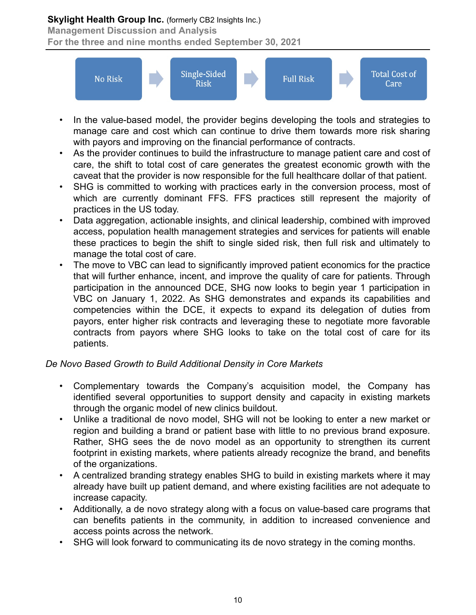# **Skylight Health Group Inc.** (formerly CB2 Insights Inc.)

**Management Discussion and Analysis**

**For the three and nine months ended September 30, 2021**



- In the value-based model, the provider begins developing the tools and strategies to manage care and cost which can continue to drive them towards more risk sharing with payors and improving on the financial performance of contracts.
- As the provider continues to build the infrastructure to manage patient care and cost of care, the shift to total cost of care generates the greatest economic growth with the caveat that the provider is now responsible for the full healthcare dollar of that patient.
- SHG is committed to working with practices early in the conversion process, most of which are currently dominant FFS. FFS practices still represent the majority of practices in the US today.
- Data aggregation, actionable insights, and clinical leadership, combined with improved access, population health management strategies and services for patients will enable these practices to begin the shift to single sided risk, then full risk and ultimately to manage the total cost of care.
- The move to VBC can lead to significantly improved patient economics for the practice that will further enhance, incent, and improve the quality of care for patients. Through participation in the announced DCE, SHG now looks to begin year 1 participation in VBC on January 1, 2022. As SHG demonstrates and expands its capabilities and competencies within the DCE, it expects to expand its delegation of duties from payors, enter higher risk contracts and leveraging these to negotiate more favorable contracts from payors where SHG looks to take on the total cost of care for its patients.

# *De Novo Based Growth to Build Additional Density in Core Markets*

- Complementary towards the Company's acquisition model, the Company has identified several opportunities to support density and capacity in existing markets through the organic model of new clinics buildout.
- Unlike a traditional de novo model, SHG will not be looking to enter a new market or region and building a brand or patient base with little to no previous brand exposure. Rather, SHG sees the de novo model as an opportunity to strengthen its current footprint in existing markets, where patients already recognize the brand, and benefits of the organizations.
- A centralized branding strategy enables SHG to build in existing markets where it may already have built up patient demand, and where existing facilities are not adequate to increase capacity.
- Additionally, a de novo strategy along with a focus on value-based care programs that can benefits patients in the community, in addition to increased convenience and access points across the network.
- SHG will look forward to communicating its de novo strategy in the coming months.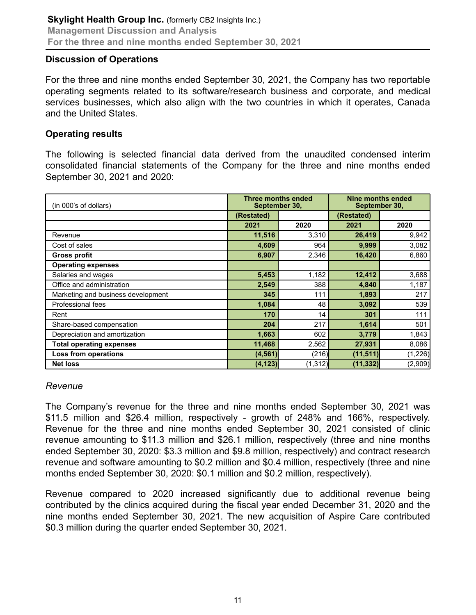#### **Discussion of Operations**

For the three and nine months ended September 30, 2021, the Company has two reportable operating segments related to its software/research business and corporate, and medical services businesses, which also align with the two countries in which it operates, Canada and the United States.

#### **Operating results**

The following is selected financial data derived from the unaudited condensed interim consolidated financial statements of the Company for the three and nine months ended September 30, 2021 and 2020:

| (in 000's of dollars)              |            | Three months ended<br>September 30, |            | Nine months ended<br>September 30, |  |
|------------------------------------|------------|-------------------------------------|------------|------------------------------------|--|
|                                    | (Restated) |                                     | (Restated) |                                    |  |
|                                    | 2021       | 2020                                | 2021       | 2020                               |  |
| Revenue                            | 11,516     | 3,310                               | 26,419     | 9,942                              |  |
| Cost of sales                      | 4,609      | 964                                 | 9,999      | 3,082                              |  |
| <b>Gross profit</b>                | 6,907      | 2,346                               | 16,420     | 6,860                              |  |
| <b>Operating expenses</b>          |            |                                     |            |                                    |  |
| Salaries and wages                 | 5,453      | 1,182                               | 12,412     | 3,688                              |  |
| Office and administration          | 2,549      | 388                                 | 4,840      | 1,187                              |  |
| Marketing and business development | 345        | 111                                 | 1,893      | 217                                |  |
| Professional fees                  | 1,084      | 48                                  | 3,092      | 539                                |  |
| Rent                               | 170        | 14                                  | 301        | 111                                |  |
| Share-based compensation           | 204        | 217                                 | 1,614      | 501                                |  |
| Depreciation and amortization      | 1,663      | 602                                 | 3,779      | 1,843                              |  |
| <b>Total operating expenses</b>    | 11,468     | 2,562                               | 27,931     | 8,086                              |  |
| <b>Loss from operations</b>        | (4, 561)   | (216)                               | (11, 511)  | (1,226)                            |  |
| <b>Net loss</b>                    | (4, 123)   | (1, 312)                            | (11, 332)  | (2,909)                            |  |

#### *Revenue*

The Company's revenue for the three and nine months ended September 30, 2021 was \$11.5 million and \$26.4 million, respectively - growth of 248% and 166%, respectively. Revenue for the three and nine months ended September 30, 2021 consisted of clinic revenue amounting to \$11.3 million and \$26.1 million, respectively (three and nine months ended September 30, 2020: \$3.3 million and \$9.8 million, respectively) and contract research revenue and software amounting to \$0.2 million and \$0.4 million, respectively (three and nine months ended September 30, 2020: \$0.1 million and \$0.2 million, respectively).

Revenue compared to 2020 increased significantly due to additional revenue being contributed by the clinics acquired during the fiscal year ended December 31, 2020 and the nine months ended September 30, 2021. The new acquisition of Aspire Care contributed \$0.3 million during the quarter ended September 30, 2021.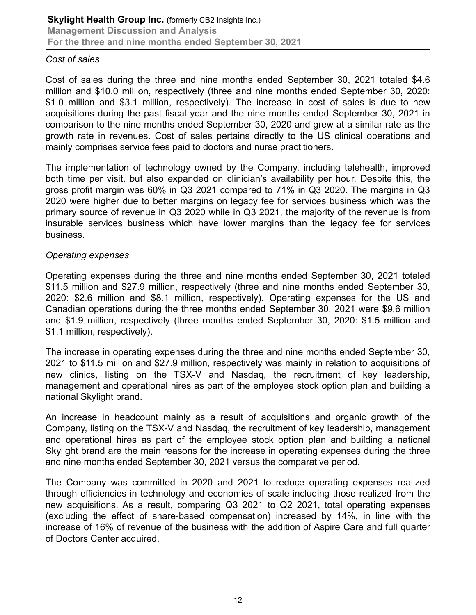#### *Cost of sales*

Cost of sales during the three and nine months ended September 30, 2021 totaled \$4.6 million and \$10.0 million, respectively (three and nine months ended September 30, 2020: \$1.0 million and \$3.1 million, respectively). The increase in cost of sales is due to new acquisitions during the past fiscal year and the nine months ended September 30, 2021 in comparison to the nine months ended September 30, 2020 and grew at a similar rate as the growth rate in revenues. Cost of sales pertains directly to the US clinical operations and mainly comprises service fees paid to doctors and nurse practitioners.

The implementation of technology owned by the Company, including telehealth, improved both time per visit, but also expanded on clinician's availability per hour. Despite this, the gross profit margin was 60% in Q3 2021 compared to 71% in Q3 2020. The margins in Q3 2020 were higher due to better margins on legacy fee for services business which was the primary source of revenue in Q3 2020 while in Q3 2021, the majority of the revenue is from insurable services business which have lower margins than the legacy fee for services business.

#### *Operating expenses*

Operating expenses during the three and nine months ended September 30, 2021 totaled \$11.5 million and \$27.9 million, respectively (three and nine months ended September 30, 2020: \$2.6 million and \$8.1 million, respectively). Operating expenses for the US and Canadian operations during the three months ended September 30, 2021 were \$9.6 million and \$1.9 million, respectively (three months ended September 30, 2020: \$1.5 million and \$1.1 million, respectively).

The increase in operating expenses during the three and nine months ended September 30, 2021 to \$11.5 million and \$27.9 million, respectively was mainly in relation to acquisitions of new clinics, listing on the TSX-V and Nasdaq, the recruitment of key leadership, management and operational hires as part of the employee stock option plan and building a national Skylight brand.

An increase in headcount mainly as a result of acquisitions and organic growth of the Company, listing on the TSX-V and Nasdaq, the recruitment of key leadership, management and operational hires as part of the employee stock option plan and building a national Skylight brand are the main reasons for the increase in operating expenses during the three and nine months ended September 30, 2021 versus the comparative period.

The Company was committed in 2020 and 2021 to reduce operating expenses realized through efficiencies in technology and economies of scale including those realized from the new acquisitions. As a result, comparing Q3 2021 to Q2 2021, total operating expenses (excluding the effect of share-based compensation) increased by 14%, in line with the increase of 16% of revenue of the business with the addition of Aspire Care and full quarter of Doctors Center acquired.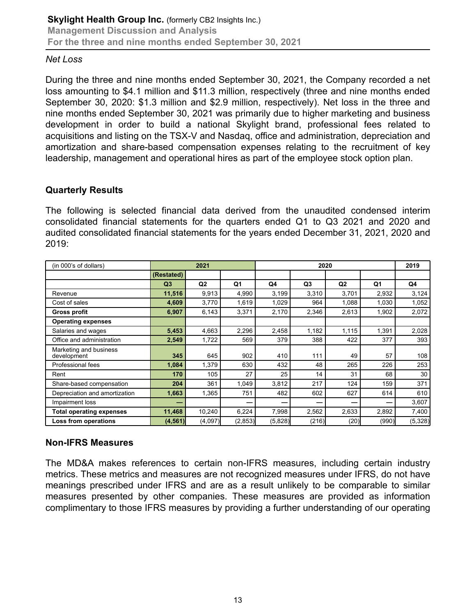#### *Net Loss*

During the three and nine months ended September 30, 2021, the Company recorded a net loss amounting to \$4.1 million and \$11.3 million, respectively (three and nine months ended September 30, 2020: \$1.3 million and \$2.9 million, respectively). Net loss in the three and nine months ended September 30, 2021 was primarily due to higher marketing and business development in order to build a national Skylight brand, professional fees related to acquisitions and listing on the TSX-V and Nasdaq, office and administration, depreciation and amortization and share-based compensation expenses relating to the recruitment of key leadership, management and operational hires as part of the employee stock option plan.

# **Quarterly Results**

The following is selected financial data derived from the unaudited condensed interim consolidated financial statements for the quarters ended Q1 to Q3 2021 and 2020 and audited consolidated financial statements for the years ended December 31, 2021, 2020 and 2019:

| (in 000's of dollars)                 |                | 2021    |         | 2020    |                |                | 2019  |         |
|---------------------------------------|----------------|---------|---------|---------|----------------|----------------|-------|---------|
|                                       | (Restated)     |         |         |         |                |                |       |         |
|                                       | Q <sub>3</sub> | Q2      | Q1      | Q4      | Q <sub>3</sub> | Q <sub>2</sub> | Q1    | Q4      |
| Revenue                               | 11,516         | 9,913   | 4,990   | 3,199   | 3,310          | 3,701          | 2,932 | 3,124   |
| Cost of sales                         | 4,609          | 3,770   | 1,619   | 1,029   | 964            | 1,088          | 1,030 | 1,052   |
| <b>Gross profit</b>                   | 6,907          | 6,143   | 3,371   | 2,170   | 2,346          | 2,613          | 1,902 | 2,072   |
| <b>Operating expenses</b>             |                |         |         |         |                |                |       |         |
| Salaries and wages                    | 5,453          | 4,663   | 2,296   | 2,458   | 1,182          | 1,115          | 1,391 | 2,028   |
| Office and administration             | 2,549          | 1,722   | 569     | 379     | 388            | 422            | 377   | 393     |
| Marketing and business<br>development | 345            | 645     | 902     | 410     | 111            | 49             | 57    | 108     |
| Professional fees                     | 1,084          | 1,379   | 630     | 432     | 48             | 265            | 226   | 253     |
| Rent                                  | 170            | 105     | 27      | 25      | 14             | 31             | 68    | 30      |
| Share-based compensation              | 204            | 361     | 1,049   | 3,812   | 217            | 124            | 159   | 371     |
| Depreciation and amortization         | 1,663          | 1,365   | 751     | 482     | 602            | 627            | 614   | 610     |
| Impairment loss                       |                |         |         | –       |                |                |       | 3,607   |
| <b>Total operating expenses</b>       | 11,468         | 10,240  | 6,224   | 7,998   | 2,562          | 2,633          | 2,892 | 7,400   |
| Loss from operations                  | (4, 561)       | (4,097) | (2,853) | (5,828) | (216)          | (20)           | (990) | (5,328) |

# **Non-IFRS Measures**

The MD&A makes references to certain non-IFRS measures, including certain industry metrics. These metrics and measures are not recognized measures under IFRS, do not have meanings prescribed under IFRS and are as a result unlikely to be comparable to similar measures presented by other companies. These measures are provided as information complimentary to those IFRS measures by providing a further understanding of our operating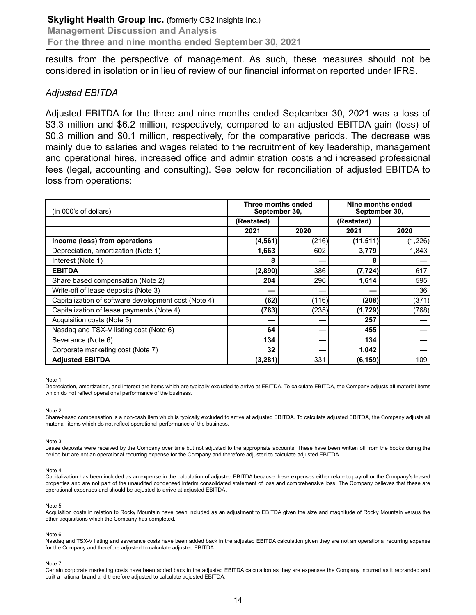results from the perspective of management. As such, these measures should not be considered in isolation or in lieu of review of our financial information reported under IFRS.

#### *Adjusted EBITDA*

Adjusted EBITDA for the three and nine months ended September 30, 2021 was a loss of \$3.3 million and \$6.2 million, respectively, compared to an adjusted EBITDA gain (loss) of \$0.3 million and \$0.1 million, respectively, for the comparative periods. The decrease was mainly due to salaries and wages related to the recruitment of key leadership, management and operational hires, increased office and administration costs and increased professional fees (legal, accounting and consulting). See below for reconciliation of adjusted EBITDA to loss from operations:

| (in 000's of dollars)                                | Three months ended<br>September 30, |       | Nine months ended<br>September 30, |         |
|------------------------------------------------------|-------------------------------------|-------|------------------------------------|---------|
|                                                      | (Restated)                          |       | (Restated)                         |         |
|                                                      | 2021                                | 2020  | 2021                               | 2020    |
| Income (loss) from operations                        | (4, 561)                            | (216) | (11, 511)                          | (1,226) |
| Depreciation, amortization (Note 1)                  | 1,663                               | 602   | 3,779                              | 1,843   |
| Interest (Note 1)                                    | 8                                   |       | 8                                  |         |
| <b>EBITDA</b>                                        | (2,890)                             | 386   | (7, 724)                           | 617     |
| Share based compensation (Note 2)                    | 204                                 | 296   | 1,614                              | 595     |
| Write-off of lease deposits (Note 3)                 |                                     |       |                                    | 36      |
| Capitalization of software development cost (Note 4) | (62)                                | (116) | (208)                              | (371)   |
| Capitalization of lease payments (Note 4)            | (763)                               | (235) | (1,729)                            | (768)   |
| Acquisition costs (Note 5)                           |                                     |       | 257                                |         |
| Nasdaq and TSX-V listing cost (Note 6)               | 64                                  |       | 455                                |         |
| Severance (Note 6)                                   | 134                                 |       | 134                                |         |
| Corporate marketing cost (Note 7)                    | 32                                  |       | 1,042                              |         |
| <b>Adjusted EBITDA</b>                               | (3, 281)                            | 331   | (6, 159)                           | 109     |

Note 1

Depreciation, amortization, and interest are items which are typically excluded to arrive at EBITDA. To calculate EBITDA, the Company adjusts all material items which do not reflect operational performance of the business.

Note 2

Share-based compensation is a non-cash item which is typically excluded to arrive at adjusted EBITDA. To calculate adjusted EBITDA, the Company adjusts all material items which do not reflect operational performance of the business.

Note 3

Lease deposits were received by the Company over time but not adjusted to the appropriate accounts. These have been written off from the books during the period but are not an operational recurring expense for the Company and therefore adjusted to calculate adjusted EBITDA.

Note 4

Capitalization has been included as an expense in the calculation of adjusted EBITDA because these expenses either relate to payroll or the Company's leased properties and are not part of the unaudited condensed interim consolidated statement of loss and comprehensive loss. The Company believes that these are operational expenses and should be adjusted to arrive at adjusted EBITDA.

Note 5

Acquisition costs in relation to Rocky Mountain have been included as an adjustment to EBITDA given the size and magnitude of Rocky Mountain versus the other acquisitions which the Company has completed.

Note 6

Nasdaq and TSX-V listing and severance costs have been added back in the adjusted EBITDA calculation given they are not an operational recurring expense for the Company and therefore adjusted to calculate adjusted EBITDA.

#### Note 7

Certain corporate marketing costs have been added back in the adjusted EBITDA calculation as they are expenses the Company incurred as it rebranded and built a national brand and therefore adjusted to calculate adjusted EBITDA.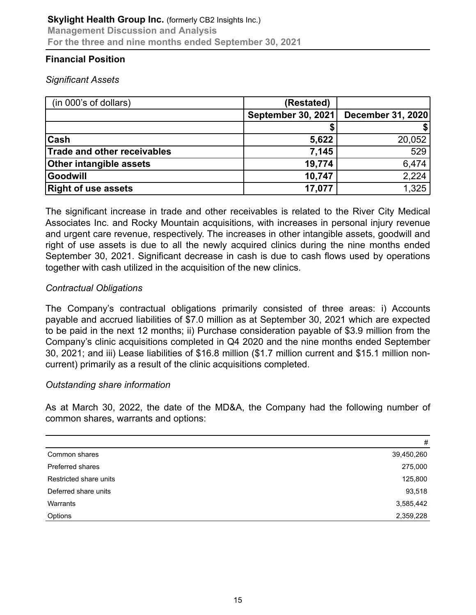# **Financial Position**

#### *Significant Assets*

| (in 000's of dollars)       | (Restated)         |                   |
|-----------------------------|--------------------|-------------------|
|                             | September 30, 2021 | December 31, 2020 |
|                             |                    |                   |
| <b>Cash</b>                 | 5,622              | 20,052            |
| Trade and other receivables | 7,145              | 529               |
| Other intangible assets     | 19,774             | 6,474             |
| Goodwill                    | 10,747             | 2,224             |
| <b>Right of use assets</b>  | 17,077             | 1,325             |

The significant increase in trade and other receivables is related to the River City Medical Associates Inc. and Rocky Mountain acquisitions, with increases in personal injury revenue and urgent care revenue, respectively. The increases in other intangible assets, goodwill and right of use assets is due to all the newly acquired clinics during the nine months ended September 30, 2021. Significant decrease in cash is due to cash flows used by operations together with cash utilized in the acquisition of the new clinics.

#### *Contractual Obligations*

The Company's contractual obligations primarily consisted of three areas: i) Accounts payable and accrued liabilities of \$7.0 million as at September 30, 2021 which are expected to be paid in the next 12 months; ii) Purchase consideration payable of \$3.9 million from the Company's clinic acquisitions completed in Q4 2020 and the nine months ended September 30, 2021; and iii) Lease liabilities of \$16.8 million (\$1.7 million current and \$15.1 million noncurrent) primarily as a result of the clinic acquisitions completed.

#### *Outstanding share information*

As at March 30, 2022, the date of the MD&A, the Company had the following number of common shares, warrants and options:

|                        | #          |
|------------------------|------------|
| Common shares          | 39,450,260 |
| Preferred shares       | 275,000    |
| Restricted share units | 125,800    |
| Deferred share units   | 93,518     |
| Warrants               | 3,585,442  |
| Options                | 2,359,228  |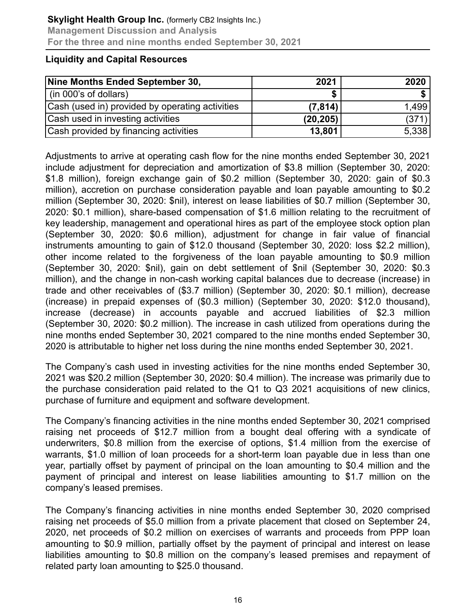#### **Liquidity and Capital Resources**

| Nine Months Ended September 30,                 | 2021      | 2020  |
|-------------------------------------------------|-----------|-------|
| (in 000's of dollars)                           |           |       |
| Cash (used in) provided by operating activities | (7, 814)  | 1.499 |
| Cash used in investing activities               | (20, 205) | (371) |
| Cash provided by financing activities           | 13,801    | 5,338 |

Adjustments to arrive at operating cash flow for the nine months ended September 30, 2021 include adjustment for depreciation and amortization of \$3.8 million (September 30, 2020: \$1.8 million), foreign exchange gain of \$0.2 million (September 30, 2020: gain of \$0.3 million), accretion on purchase consideration payable and loan payable amounting to \$0.2 million (September 30, 2020: \$nil), interest on lease liabilities of \$0.7 million (September 30, 2020: \$0.1 million), share-based compensation of \$1.6 million relating to the recruitment of key leadership, management and operational hires as part of the employee stock option plan (September 30, 2020: \$0.6 million), adjustment for change in fair value of financial instruments amounting to gain of \$12.0 thousand (September 30, 2020: loss \$2.2 million), other income related to the forgiveness of the loan payable amounting to \$0.9 million (September 30, 2020: \$nil), gain on debt settlement of \$nil (September 30, 2020: \$0.3 million), and the change in non-cash working capital balances due to decrease (increase) in trade and other receivables of (\$3.7 million) (September 30, 2020: \$0.1 million), decrease (increase) in prepaid expenses of (\$0.3 million) (September 30, 2020: \$12.0 thousand), increase (decrease) in accounts payable and accrued liabilities of \$2.3 million (September 30, 2020: \$0.2 million). The increase in cash utilized from operations during the nine months ended September 30, 2021 compared to the nine months ended September 30, 2020 is attributable to higher net loss during the nine months ended September 30, 2021.

The Company's cash used in investing activities for the nine months ended September 30, 2021 was \$20.2 million (September 30, 2020: \$0.4 million). The increase was primarily due to the purchase consideration paid related to the Q1 to Q3 2021 acquisitions of new clinics, purchase of furniture and equipment and software development.

The Company's financing activities in the nine months ended September 30, 2021 comprised raising net proceeds of \$12.7 million from a bought deal offering with a syndicate of underwriters, \$0.8 million from the exercise of options, \$1.4 million from the exercise of warrants, \$1.0 million of loan proceeds for a short-term loan payable due in less than one year, partially offset by payment of principal on the loan amounting to \$0.4 million and the payment of principal and interest on lease liabilities amounting to \$1.7 million on the company's leased premises.

The Company's financing activities in nine months ended September 30, 2020 comprised raising net proceeds of \$5.0 million from a private placement that closed on September 24, 2020, net proceeds of \$0.2 million on exercises of warrants and proceeds from PPP loan amounting to \$0.9 million, partially offset by the payment of principal and interest on lease liabilities amounting to \$0.8 million on the company's leased premises and repayment of related party loan amounting to \$25.0 thousand.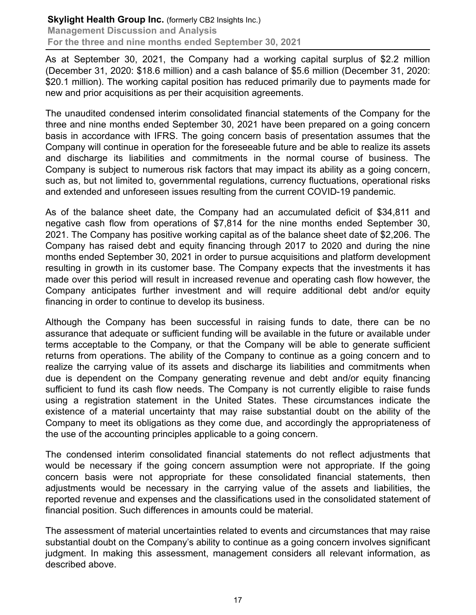As at September 30, 2021, the Company had a working capital surplus of \$2.2 million (December 31, 2020: \$18.6 million) and a cash balance of \$5.6 million (December 31, 2020: \$20.1 million). The working capital position has reduced primarily due to payments made for new and prior acquisitions as per their acquisition agreements.

The unaudited condensed interim consolidated financial statements of the Company for the three and nine months ended September 30, 2021 have been prepared on a going concern basis in accordance with IFRS. The going concern basis of presentation assumes that the Company will continue in operation for the foreseeable future and be able to realize its assets and discharge its liabilities and commitments in the normal course of business. The Company is subject to numerous risk factors that may impact its ability as a going concern, such as, but not limited to, governmental regulations, currency fluctuations, operational risks and extended and unforeseen issues resulting from the current COVID-19 pandemic.

As of the balance sheet date, the Company had an accumulated deficit of \$34,811 and negative cash flow from operations of \$7,814 for the nine months ended September 30, 2021. The Company has positive working capital as of the balance sheet date of \$2,206. The Company has raised debt and equity financing through 2017 to 2020 and during the nine months ended September 30, 2021 in order to pursue acquisitions and platform development resulting in growth in its customer base. The Company expects that the investments it has made over this period will result in increased revenue and operating cash flow however, the Company anticipates further investment and will require additional debt and/or equity financing in order to continue to develop its business.

Although the Company has been successful in raising funds to date, there can be no assurance that adequate or sufficient funding will be available in the future or available under terms acceptable to the Company, or that the Company will be able to generate sufficient returns from operations. The ability of the Company to continue as a going concern and to realize the carrying value of its assets and discharge its liabilities and commitments when due is dependent on the Company generating revenue and debt and/or equity financing sufficient to fund its cash flow needs. The Company is not currently eligible to raise funds using a registration statement in the United States. These circumstances indicate the existence of a material uncertainty that may raise substantial doubt on the ability of the Company to meet its obligations as they come due, and accordingly the appropriateness of the use of the accounting principles applicable to a going concern.

The condensed interim consolidated financial statements do not reflect adjustments that would be necessary if the going concern assumption were not appropriate. If the going concern basis were not appropriate for these consolidated financial statements, then adjustments would be necessary in the carrying value of the assets and liabilities, the reported revenue and expenses and the classifications used in the consolidated statement of financial position. Such differences in amounts could be material.

The assessment of material uncertainties related to events and circumstances that may raise substantial doubt on the Company's ability to continue as a going concern involves significant judgment. In making this assessment, management considers all relevant information, as described above.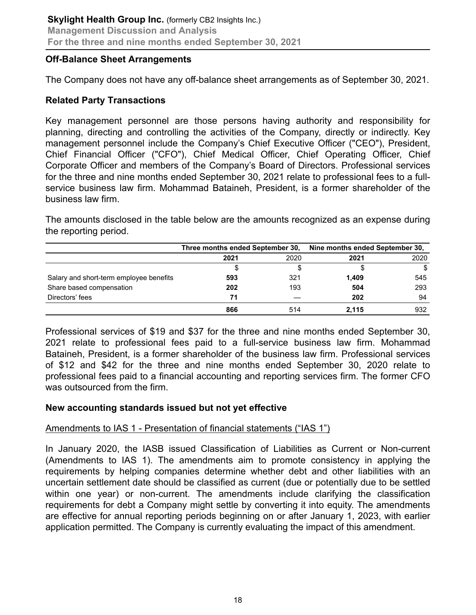#### **Off-Balance Sheet Arrangements**

The Company does not have any off-balance sheet arrangements as of September 30, 2021.

# **Related Party Transactions**

Key management personnel are those persons having authority and responsibility for planning, directing and controlling the activities of the Company, directly or indirectly. Key management personnel include the Company's Chief Executive Officer ("CEO"), President, Chief Financial Officer ("CFO"), Chief Medical Officer, Chief Operating Officer, Chief Corporate Officer and members of the Company's Board of Directors. Professional services for the three and nine months ended September 30, 2021 relate to professional fees to a fullservice business law firm. Mohammad Bataineh, President, is a former shareholder of the business law firm.

The amounts disclosed in the table below are the amounts recognized as an expense during the reporting period.

|                                         | Three months ended September 30, |      | Nine months ended September 30, |      |
|-----------------------------------------|----------------------------------|------|---------------------------------|------|
|                                         | 2021                             | 2020 | 2021                            | 2020 |
|                                         |                                  |      |                                 | \$   |
| Salary and short-term employee benefits | 593                              | 321  | 1.409                           | 545  |
| Share based compensation                | 202                              | 193  | 504                             | 293  |
| Directors' fees                         | 71                               |      | 202                             | 94   |
|                                         | 866                              | 514  | 2.115                           | 932  |

Professional services of \$19 and \$37 for the three and nine months ended September 30, 2021 relate to professional fees paid to a full-service business law firm. Mohammad Bataineh, President, is a former shareholder of the business law firm. Professional services of \$12 and \$42 for the three and nine months ended September 30, 2020 relate to professional fees paid to a financial accounting and reporting services firm. The former CFO was outsourced from the firm.

# **New accounting standards issued but not yet effective**

# Amendments to IAS 1 - Presentation of financial statements ("IAS 1")

In January 2020, the IASB issued Classification of Liabilities as Current or Non-current (Amendments to IAS 1). The amendments aim to promote consistency in applying the requirements by helping companies determine whether debt and other liabilities with an uncertain settlement date should be classified as current (due or potentially due to be settled within one year) or non-current. The amendments include clarifying the classification requirements for debt a Company might settle by converting it into equity. The amendments are effective for annual reporting periods beginning on or after January 1, 2023, with earlier application permitted. The Company is currently evaluating the impact of this amendment.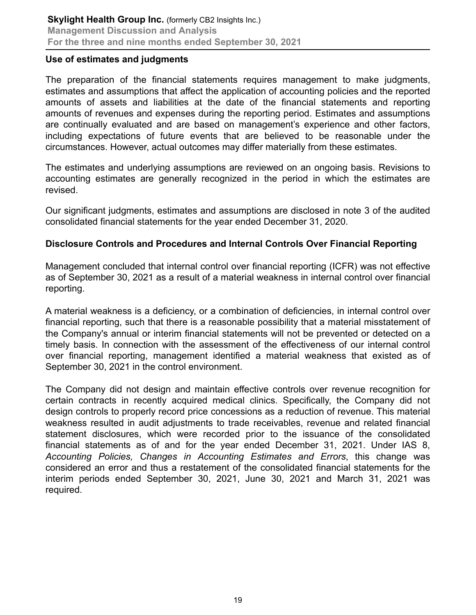#### **Use of estimates and judgments**

The preparation of the financial statements requires management to make judgments, estimates and assumptions that affect the application of accounting policies and the reported amounts of assets and liabilities at the date of the financial statements and reporting amounts of revenues and expenses during the reporting period. Estimates and assumptions are continually evaluated and are based on management's experience and other factors, including expectations of future events that are believed to be reasonable under the circumstances. However, actual outcomes may differ materially from these estimates.

The estimates and underlying assumptions are reviewed on an ongoing basis. Revisions to accounting estimates are generally recognized in the period in which the estimates are revised.

Our significant judgments, estimates and assumptions are disclosed in note 3 of the audited consolidated financial statements for the year ended December 31, 2020.

# **Disclosure Controls and Procedures and Internal Controls Over Financial Reporting**

Management concluded that internal control over financial reporting (ICFR) was not effective as of September 30, 2021 as a result of a material weakness in internal control over financial reporting.

A material weakness is a deficiency, or a combination of deficiencies, in internal control over financial reporting, such that there is a reasonable possibility that a material misstatement of the Company's annual or interim financial statements will not be prevented or detected on a timely basis. In connection with the assessment of the effectiveness of our internal control over financial reporting, management identified a material weakness that existed as of September 30, 2021 in the control environment.

The Company did not design and maintain effective controls over revenue recognition for certain contracts in recently acquired medical clinics. Specifically, the Company did not design controls to properly record price concessions as a reduction of revenue. This material weakness resulted in audit adjustments to trade receivables, revenue and related financial statement disclosures, which were recorded prior to the issuance of the consolidated financial statements as of and for the year ended December 31, 2021. Under IAS 8, *Accounting Policies, Changes in Accounting Estimates and Errors*, this change was considered an error and thus a restatement of the consolidated financial statements for the interim periods ended September 30, 2021, June 30, 2021 and March 31, 2021 was required.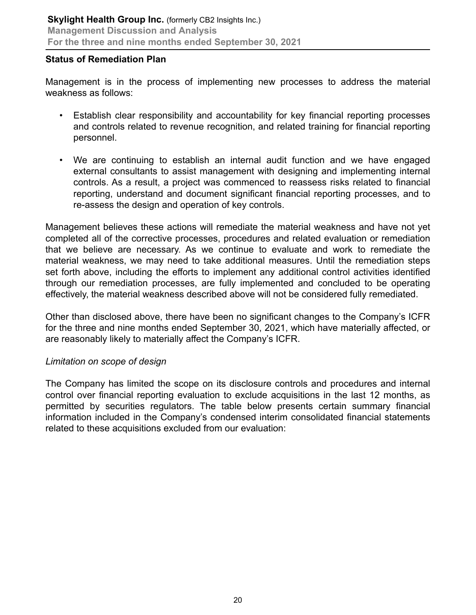#### **Status of Remediation Plan**

Management is in the process of implementing new processes to address the material weakness as follows:

- Establish clear responsibility and accountability for key financial reporting processes and controls related to revenue recognition, and related training for financial reporting personnel.
- We are continuing to establish an internal audit function and we have engaged external consultants to assist management with designing and implementing internal controls. As a result, a project was commenced to reassess risks related to financial reporting, understand and document significant financial reporting processes, and to re-assess the design and operation of key controls.

Management believes these actions will remediate the material weakness and have not yet completed all of the corrective processes, procedures and related evaluation or remediation that we believe are necessary. As we continue to evaluate and work to remediate the material weakness, we may need to take additional measures. Until the remediation steps set forth above, including the efforts to implement any additional control activities identified through our remediation processes, are fully implemented and concluded to be operating effectively, the material weakness described above will not be considered fully remediated.

Other than disclosed above, there have been no significant changes to the Company's ICFR for the three and nine months ended September 30, 2021, which have materially affected, or are reasonably likely to materially affect the Company's ICFR.

#### *Limitation on scope of design*

The Company has limited the scope on its disclosure controls and procedures and internal control over financial reporting evaluation to exclude acquisitions in the last 12 months, as permitted by securities regulators. The table below presents certain summary financial information included in the Company's condensed interim consolidated financial statements related to these acquisitions excluded from our evaluation: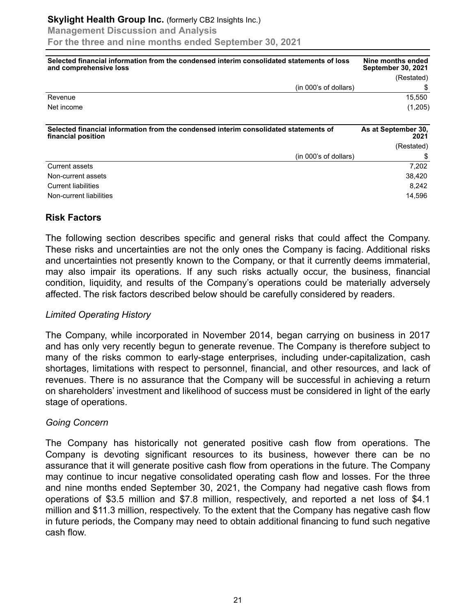| Selected financial information from the condensed interim consolidated statements of loss<br>and comprehensive loss | Nine months ended<br><b>September 30, 2021</b> |
|---------------------------------------------------------------------------------------------------------------------|------------------------------------------------|
|                                                                                                                     | (Restated)                                     |
| (in 000's of dollars)                                                                                               |                                                |
| Revenue                                                                                                             | 15,550                                         |
| Net income                                                                                                          | (1,205)                                        |
| Selected financial information from the condensed interim consolidated statements of<br>financial position          | As at September 30,<br>2021                    |
|                                                                                                                     | (Restated)                                     |
| (in 000's of dollars)                                                                                               |                                                |
| <b>Current assets</b>                                                                                               | 7,202                                          |
| Non-current assets                                                                                                  | 38,420                                         |
| Current liabilities                                                                                                 | 8.242                                          |
| Non-current liabilities                                                                                             | 14,596                                         |

#### **Risk Factors**

The following section describes specific and general risks that could affect the Company. These risks and uncertainties are not the only ones the Company is facing. Additional risks and uncertainties not presently known to the Company, or that it currently deems immaterial, may also impair its operations. If any such risks actually occur, the business, financial condition, liquidity, and results of the Company's operations could be materially adversely affected. The risk factors described below should be carefully considered by readers.

#### *Limited Operating History*

The Company, while incorporated in November 2014, began carrying on business in 2017 and has only very recently begun to generate revenue. The Company is therefore subject to many of the risks common to early-stage enterprises, including under-capitalization, cash shortages, limitations with respect to personnel, financial, and other resources, and lack of revenues. There is no assurance that the Company will be successful in achieving a return on shareholders' investment and likelihood of success must be considered in light of the early stage of operations.

#### *Going Concern*

The Company has historically not generated positive cash flow from operations. The Company is devoting significant resources to its business, however there can be no assurance that it will generate positive cash flow from operations in the future. The Company may continue to incur negative consolidated operating cash flow and losses. For the three and nine months ended September 30, 2021, the Company had negative cash flows from operations of \$3.5 million and \$7.8 million, respectively, and reported a net loss of \$4.1 million and \$11.3 million, respectively. To the extent that the Company has negative cash flow in future periods, the Company may need to obtain additional financing to fund such negative cash flow.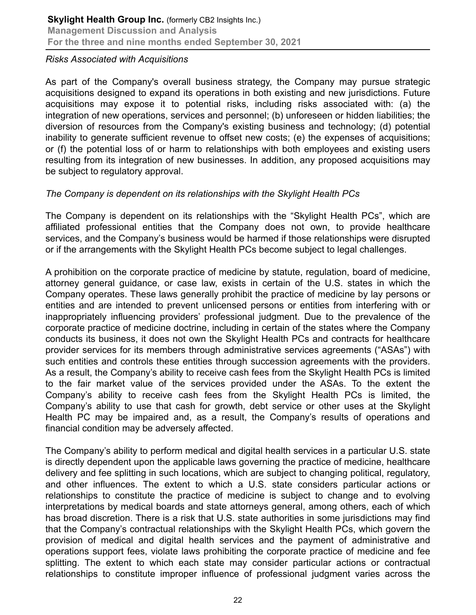#### *Risks Associated with Acquisitions*

As part of the Company's overall business strategy, the Company may pursue strategic acquisitions designed to expand its operations in both existing and new jurisdictions. Future acquisitions may expose it to potential risks, including risks associated with: (a) the integration of new operations, services and personnel; (b) unforeseen or hidden liabilities; the diversion of resources from the Company's existing business and technology; (d) potential inability to generate sufficient revenue to offset new costs; (e) the expenses of acquisitions; or (f) the potential loss of or harm to relationships with both employees and existing users resulting from its integration of new businesses. In addition, any proposed acquisitions may be subject to regulatory approval.

# *The Company is dependent on its relationships with the Skylight Health PCs*

The Company is dependent on its relationships with the "Skylight Health PCs", which are affiliated professional entities that the Company does not own, to provide healthcare services, and the Company's business would be harmed if those relationships were disrupted or if the arrangements with the Skylight Health PCs become subject to legal challenges.

A prohibition on the corporate practice of medicine by statute, regulation, board of medicine, attorney general guidance, or case law, exists in certain of the U.S. states in which the Company operates. These laws generally prohibit the practice of medicine by lay persons or entities and are intended to prevent unlicensed persons or entities from interfering with or inappropriately influencing providers' professional judgment. Due to the prevalence of the corporate practice of medicine doctrine, including in certain of the states where the Company conducts its business, it does not own the Skylight Health PCs and contracts for healthcare provider services for its members through administrative services agreements ("ASAs") with such entities and controls these entities through succession agreements with the providers. As a result, the Company's ability to receive cash fees from the Skylight Health PCs is limited to the fair market value of the services provided under the ASAs. To the extent the Company's ability to receive cash fees from the Skylight Health PCs is limited, the Company's ability to use that cash for growth, debt service or other uses at the Skylight Health PC may be impaired and, as a result, the Company's results of operations and financial condition may be adversely affected.

The Company's ability to perform medical and digital health services in a particular U.S. state is directly dependent upon the applicable laws governing the practice of medicine, healthcare delivery and fee splitting in such locations, which are subject to changing political, regulatory, and other influences. The extent to which a U.S. state considers particular actions or relationships to constitute the practice of medicine is subject to change and to evolving interpretations by medical boards and state attorneys general, among others, each of which has broad discretion. There is a risk that U.S. state authorities in some jurisdictions may find that the Company's contractual relationships with the Skylight Health PCs, which govern the provision of medical and digital health services and the payment of administrative and operations support fees, violate laws prohibiting the corporate practice of medicine and fee splitting. The extent to which each state may consider particular actions or contractual relationships to constitute improper influence of professional judgment varies across the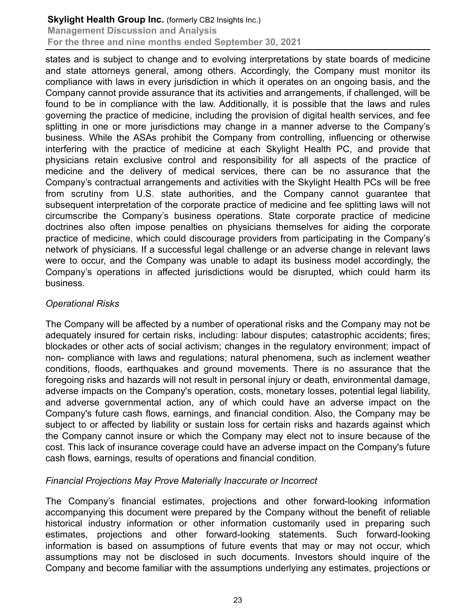states and is subject to change and to evolving interpretations by state boards of medicine and state attorneys general, among others. Accordingly, the Company must monitor its compliance with laws in every jurisdiction in which it operates on an ongoing basis, and the Company cannot provide assurance that its activities and arrangements, if challenged, will be found to be in compliance with the law. Additionally, it is possible that the laws and rules governing the practice of medicine, including the provision of digital health services, and fee splitting in one or more jurisdictions may change in a manner adverse to the Company's business. While the ASAs prohibit the Company from controlling, influencing or otherwise interfering with the practice of medicine at each Skylight Health PC, and provide that physicians retain exclusive control and responsibility for all aspects of the practice of medicine and the delivery of medical services, there can be no assurance that the Company's contractual arrangements and activities with the Skylight Health PCs will be free from scrutiny from U.S. state authorities, and the Company cannot guarantee that subsequent interpretation of the corporate practice of medicine and fee splitting laws will not circumscribe the Company's business operations. State corporate practice of medicine doctrines also often impose penalties on physicians themselves for aiding the corporate practice of medicine, which could discourage providers from participating in the Company's network of physicians. If a successful legal challenge or an adverse change in relevant laws were to occur, and the Company was unable to adapt its business model accordingly, the Company's operations in affected jurisdictions would be disrupted, which could harm its business.

#### *Operational Risks*

The Company will be affected by a number of operational risks and the Company may not be adequately insured for certain risks, including: labour disputes; catastrophic accidents; fires; blockades or other acts of social activism; changes in the regulatory environment; impact of non- compliance with laws and regulations; natural phenomena, such as inclement weather conditions, floods, earthquakes and ground movements. There is no assurance that the foregoing risks and hazards will not result in personal injury or death, environmental damage, adverse impacts on the Company's operation, costs, monetary losses, potential legal liability, and adverse governmental action, any of which could have an adverse impact on the Company's future cash flows, earnings, and financial condition. Also, the Company may be subject to or affected by liability or sustain loss for certain risks and hazards against which the Company cannot insure or which the Company may elect not to insure because of the cost. This lack of insurance coverage could have an adverse impact on the Company's future cash flows, earnings, results of operations and financial condition.

#### *Financial Projections May Prove Materially Inaccurate or Incorrect*

The Company's financial estimates, projections and other forward-looking information accompanying this document were prepared by the Company without the benefit of reliable historical industry information or other information customarily used in preparing such estimates, projections and other forward-looking statements. Such forward-looking information is based on assumptions of future events that may or may not occur, which assumptions may not be disclosed in such documents. Investors should inquire of the Company and become familiar with the assumptions underlying any estimates, projections or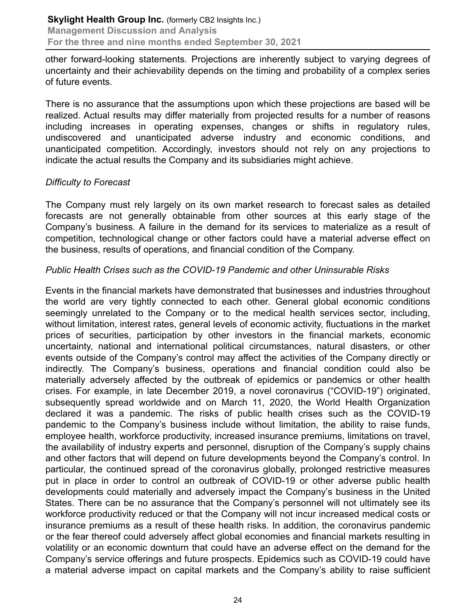other forward-looking statements. Projections are inherently subject to varying degrees of uncertainty and their achievability depends on the timing and probability of a complex series of future events.

There is no assurance that the assumptions upon which these projections are based will be realized. Actual results may differ materially from projected results for a number of reasons including increases in operating expenses, changes or shifts in regulatory rules, undiscovered and unanticipated adverse industry and economic conditions, and unanticipated competition. Accordingly, investors should not rely on any projections to indicate the actual results the Company and its subsidiaries might achieve.

# *Difficulty to Forecast*

The Company must rely largely on its own market research to forecast sales as detailed forecasts are not generally obtainable from other sources at this early stage of the Company's business. A failure in the demand for its services to materialize as a result of competition, technological change or other factors could have a material adverse effect on the business, results of operations, and financial condition of the Company.

# *Public Health Crises such as the COVID-19 Pandemic and other Uninsurable Risks*

Events in the financial markets have demonstrated that businesses and industries throughout the world are very tightly connected to each other. General global economic conditions seemingly unrelated to the Company or to the medical health services sector, including, without limitation, interest rates, general levels of economic activity, fluctuations in the market prices of securities, participation by other investors in the financial markets, economic uncertainty, national and international political circumstances, natural disasters, or other events outside of the Company's control may affect the activities of the Company directly or indirectly. The Company's business, operations and financial condition could also be materially adversely affected by the outbreak of epidemics or pandemics or other health crises. For example, in late December 2019, a novel coronavirus ("COVID-19") originated, subsequently spread worldwide and on March 11, 2020, the World Health Organization declared it was a pandemic. The risks of public health crises such as the COVID-19 pandemic to the Company's business include without limitation, the ability to raise funds, employee health, workforce productivity, increased insurance premiums, limitations on travel, the availability of industry experts and personnel, disruption of the Company's supply chains and other factors that will depend on future developments beyond the Company's control. In particular, the continued spread of the coronavirus globally, prolonged restrictive measures put in place in order to control an outbreak of COVID-19 or other adverse public health developments could materially and adversely impact the Company's business in the United States. There can be no assurance that the Company's personnel will not ultimately see its workforce productivity reduced or that the Company will not incur increased medical costs or insurance premiums as a result of these health risks. In addition, the coronavirus pandemic or the fear thereof could adversely affect global economies and financial markets resulting in volatility or an economic downturn that could have an adverse effect on the demand for the Company's service offerings and future prospects. Epidemics such as COVID-19 could have a material adverse impact on capital markets and the Company's ability to raise sufficient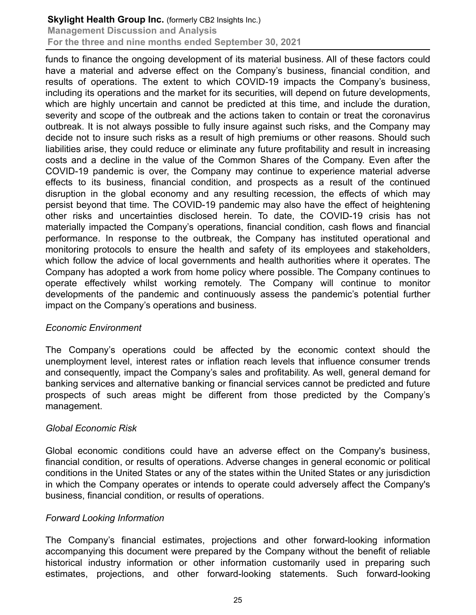funds to finance the ongoing development of its material business. All of these factors could have a material and adverse effect on the Company's business, financial condition, and results of operations. The extent to which COVID-19 impacts the Company's business, including its operations and the market for its securities, will depend on future developments, which are highly uncertain and cannot be predicted at this time, and include the duration, severity and scope of the outbreak and the actions taken to contain or treat the coronavirus outbreak. It is not always possible to fully insure against such risks, and the Company may decide not to insure such risks as a result of high premiums or other reasons. Should such liabilities arise, they could reduce or eliminate any future profitability and result in increasing costs and a decline in the value of the Common Shares of the Company. Even after the COVID-19 pandemic is over, the Company may continue to experience material adverse effects to its business, financial condition, and prospects as a result of the continued disruption in the global economy and any resulting recession, the effects of which may persist beyond that time. The COVID-19 pandemic may also have the effect of heightening other risks and uncertainties disclosed herein. To date, the COVID-19 crisis has not materially impacted the Company's operations, financial condition, cash flows and financial performance. In response to the outbreak, the Company has instituted operational and monitoring protocols to ensure the health and safety of its employees and stakeholders, which follow the advice of local governments and health authorities where it operates. The Company has adopted a work from home policy where possible. The Company continues to operate effectively whilst working remotely. The Company will continue to monitor developments of the pandemic and continuously assess the pandemic's potential further impact on the Company's operations and business.

#### *Economic Environment*

The Company's operations could be affected by the economic context should the unemployment level, interest rates or inflation reach levels that influence consumer trends and consequently, impact the Company's sales and profitability. As well, general demand for banking services and alternative banking or financial services cannot be predicted and future prospects of such areas might be different from those predicted by the Company's management.

#### *Global Economic Risk*

Global economic conditions could have an adverse effect on the Company's business, financial condition, or results of operations. Adverse changes in general economic or political conditions in the United States or any of the states within the United States or any jurisdiction in which the Company operates or intends to operate could adversely affect the Company's business, financial condition, or results of operations.

#### *Forward Looking Information*

The Company's financial estimates, projections and other forward-looking information accompanying this document were prepared by the Company without the benefit of reliable historical industry information or other information customarily used in preparing such estimates, projections, and other forward-looking statements. Such forward-looking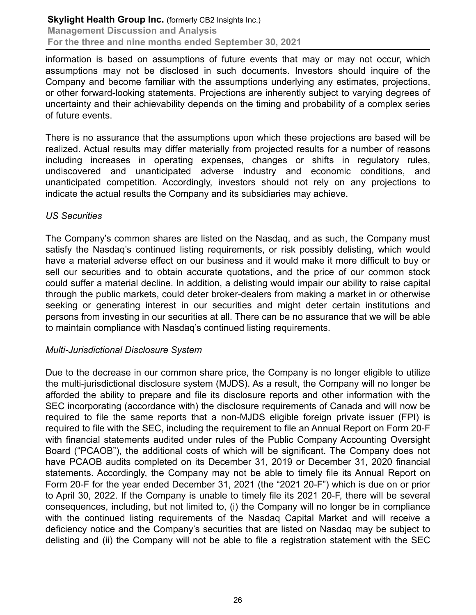information is based on assumptions of future events that may or may not occur, which assumptions may not be disclosed in such documents. Investors should inquire of the Company and become familiar with the assumptions underlying any estimates, projections, or other forward-looking statements. Projections are inherently subject to varying degrees of uncertainty and their achievability depends on the timing and probability of a complex series of future events.

There is no assurance that the assumptions upon which these projections are based will be realized. Actual results may differ materially from projected results for a number of reasons including increases in operating expenses, changes or shifts in regulatory rules, undiscovered and unanticipated adverse industry and economic conditions, and unanticipated competition. Accordingly, investors should not rely on any projections to indicate the actual results the Company and its subsidiaries may achieve.

#### *US Securities*

The Company's common shares are listed on the Nasdaq, and as such, the Company must satisfy the Nasdaq's continued listing requirements, or risk possibly delisting, which would have a material adverse effect on our business and it would make it more difficult to buy or sell our securities and to obtain accurate quotations, and the price of our common stock could suffer a material decline. In addition, a delisting would impair our ability to raise capital through the public markets, could deter broker-dealers from making a market in or otherwise seeking or generating interest in our securities and might deter certain institutions and persons from investing in our securities at all. There can be no assurance that we will be able to maintain compliance with Nasdaq's continued listing requirements.

#### *Multi-Jurisdictional Disclosure System*

Due to the decrease in our common share price, the Company is no longer eligible to utilize the multi-jurisdictional disclosure system (MJDS). As a result, the Company will no longer be afforded the ability to prepare and file its disclosure reports and other information with the SEC incorporating (accordance with) the disclosure requirements of Canada and will now be required to file the same reports that a non-MJDS eligible foreign private issuer (FPI) is required to file with the SEC, including the requirement to file an Annual Report on Form 20-F with financial statements audited under rules of the Public Company Accounting Oversight Board ("PCAOB"), the additional costs of which will be significant. The Company does not have PCAOB audits completed on its December 31, 2019 or December 31, 2020 financial statements. Accordingly, the Company may not be able to timely file its Annual Report on Form 20-F for the year ended December 31, 2021 (the "2021 20-F") which is due on or prior to April 30, 2022. If the Company is unable to timely file its 2021 20-F, there will be several consequences, including, but not limited to, (i) the Company will no longer be in compliance with the continued listing requirements of the Nasdag Capital Market and will receive a deficiency notice and the Company's securities that are listed on Nasdaq may be subject to delisting and (ii) the Company will not be able to file a registration statement with the SEC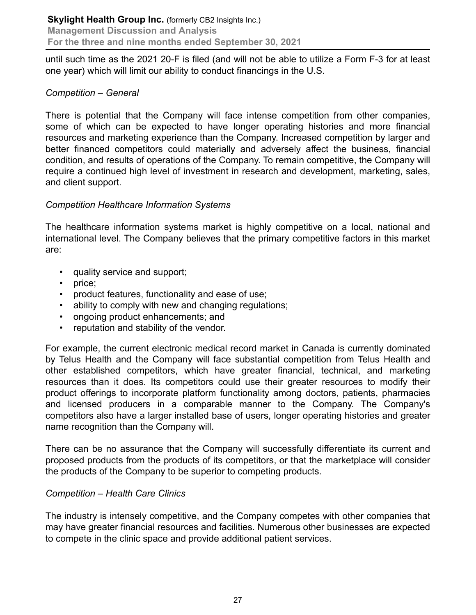until such time as the 2021 20-F is filed (and will not be able to utilize a Form F-3 for at least one year) which will limit our ability to conduct financings in the U.S.

#### *Competition – General*

There is potential that the Company will face intense competition from other companies, some of which can be expected to have longer operating histories and more financial resources and marketing experience than the Company. Increased competition by larger and better financed competitors could materially and adversely affect the business, financial condition, and results of operations of the Company. To remain competitive, the Company will require a continued high level of investment in research and development, marketing, sales, and client support.

# *Competition Healthcare Information Systems*

The healthcare information systems market is highly competitive on a local, national and international level. The Company believes that the primary competitive factors in this market are:

- quality service and support;
- price:
- product features, functionality and ease of use;
- ability to comply with new and changing regulations;
- ongoing product enhancements; and
- reputation and stability of the vendor.

For example, the current electronic medical record market in Canada is currently dominated by Telus Health and the Company will face substantial competition from Telus Health and other established competitors, which have greater financial, technical, and marketing resources than it does. Its competitors could use their greater resources to modify their product offerings to incorporate platform functionality among doctors, patients, pharmacies and licensed producers in a comparable manner to the Company. The Company's competitors also have a larger installed base of users, longer operating histories and greater name recognition than the Company will.

There can be no assurance that the Company will successfully differentiate its current and proposed products from the products of its competitors, or that the marketplace will consider the products of the Company to be superior to competing products.

#### *Competition – Health Care Clinics*

The industry is intensely competitive, and the Company competes with other companies that may have greater financial resources and facilities. Numerous other businesses are expected to compete in the clinic space and provide additional patient services.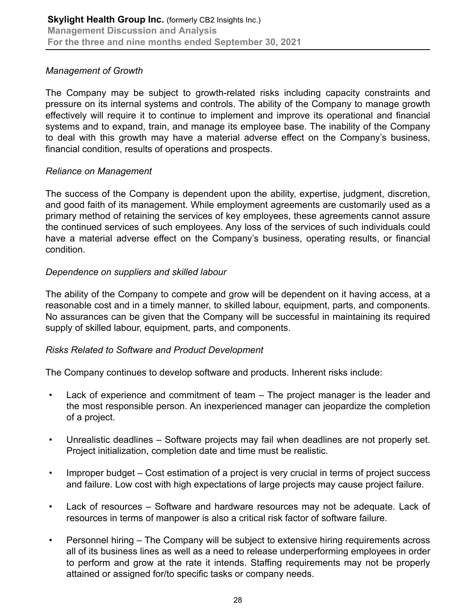# *Management of Growth*

The Company may be subject to growth-related risks including capacity constraints and pressure on its internal systems and controls. The ability of the Company to manage growth effectively will require it to continue to implement and improve its operational and financial systems and to expand, train, and manage its employee base. The inability of the Company to deal with this growth may have a material adverse effect on the Company's business, financial condition, results of operations and prospects.

# *Reliance on Management*

The success of the Company is dependent upon the ability, expertise, judgment, discretion, and good faith of its management. While employment agreements are customarily used as a primary method of retaining the services of key employees, these agreements cannot assure the continued services of such employees. Any loss of the services of such individuals could have a material adverse effect on the Company's business, operating results, or financial condition.

# *Dependence on suppliers and skilled labour*

The ability of the Company to compete and grow will be dependent on it having access, at a reasonable cost and in a timely manner, to skilled labour, equipment, parts, and components. No assurances can be given that the Company will be successful in maintaining its required supply of skilled labour, equipment, parts, and components.

# *Risks Related to Software and Product Development*

The Company continues to develop software and products. Inherent risks include:

- Lack of experience and commitment of team The project manager is the leader and the most responsible person. An inexperienced manager can jeopardize the completion of a project.
- Unrealistic deadlines Software projects may fail when deadlines are not properly set. Project initialization, completion date and time must be realistic.
- Improper budget Cost estimation of a project is very crucial in terms of project success and failure. Low cost with high expectations of large projects may cause project failure.
- Lack of resources Software and hardware resources may not be adequate. Lack of resources in terms of manpower is also a critical risk factor of software failure.
- Personnel hiring The Company will be subject to extensive hiring requirements across all of its business lines as well as a need to release underperforming employees in order to perform and grow at the rate it intends. Staffing requirements may not be properly attained or assigned for/to specific tasks or company needs.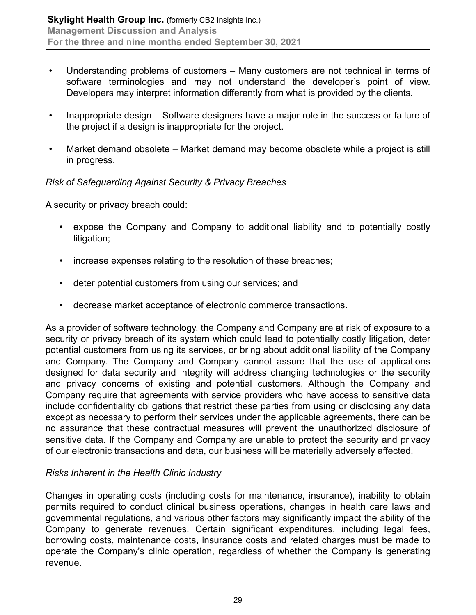- Understanding problems of customers Many customers are not technical in terms of software terminologies and may not understand the developer's point of view. Developers may interpret information differently from what is provided by the clients.
- Inappropriate design Software designers have a major role in the success or failure of the project if a design is inappropriate for the project.
- Market demand obsolete Market demand may become obsolete while a project is still in progress.

# *Risk of Safeguarding Against Security & Privacy Breaches*

A security or privacy breach could:

- expose the Company and Company to additional liability and to potentially costly litigation;
- increase expenses relating to the resolution of these breaches;
- deter potential customers from using our services; and
- decrease market acceptance of electronic commerce transactions.

As a provider of software technology, the Company and Company are at risk of exposure to a security or privacy breach of its system which could lead to potentially costly litigation, deter potential customers from using its services, or bring about additional liability of the Company and Company. The Company and Company cannot assure that the use of applications designed for data security and integrity will address changing technologies or the security and privacy concerns of existing and potential customers. Although the Company and Company require that agreements with service providers who have access to sensitive data include confidentiality obligations that restrict these parties from using or disclosing any data except as necessary to perform their services under the applicable agreements, there can be no assurance that these contractual measures will prevent the unauthorized disclosure of sensitive data. If the Company and Company are unable to protect the security and privacy of our electronic transactions and data, our business will be materially adversely affected.

#### *Risks Inherent in the Health Clinic Industry*

Changes in operating costs (including costs for maintenance, insurance), inability to obtain permits required to conduct clinical business operations, changes in health care laws and governmental regulations, and various other factors may significantly impact the ability of the Company to generate revenues. Certain significant expenditures, including legal fees, borrowing costs, maintenance costs, insurance costs and related charges must be made to operate the Company's clinic operation, regardless of whether the Company is generating revenue.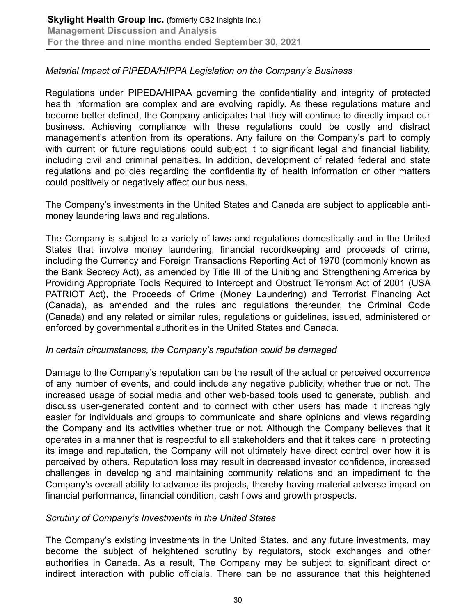### *Material Impact of PIPEDA/HIPPA Legislation on the Company's Business*

Regulations under PIPEDA/HIPAA governing the confidentiality and integrity of protected health information are complex and are evolving rapidly. As these regulations mature and become better defined, the Company anticipates that they will continue to directly impact our business. Achieving compliance with these regulations could be costly and distract management's attention from its operations. Any failure on the Company's part to comply with current or future regulations could subject it to significant legal and financial liability, including civil and criminal penalties. In addition, development of related federal and state regulations and policies regarding the confidentiality of health information or other matters could positively or negatively affect our business.

The Company's investments in the United States and Canada are subject to applicable antimoney laundering laws and regulations.

The Company is subject to a variety of laws and regulations domestically and in the United States that involve money laundering, financial recordkeeping and proceeds of crime, including the Currency and Foreign Transactions Reporting Act of 1970 (commonly known as the Bank Secrecy Act), as amended by Title III of the Uniting and Strengthening America by Providing Appropriate Tools Required to Intercept and Obstruct Terrorism Act of 2001 (USA PATRIOT Act), the Proceeds of Crime (Money Laundering) and Terrorist Financing Act (Canada), as amended and the rules and regulations thereunder, the Criminal Code (Canada) and any related or similar rules, regulations or guidelines, issued, administered or enforced by governmental authorities in the United States and Canada.

#### *In certain circumstances, the Company's reputation could be damaged*

Damage to the Company's reputation can be the result of the actual or perceived occurrence of any number of events, and could include any negative publicity, whether true or not. The increased usage of social media and other web-based tools used to generate, publish, and discuss user-generated content and to connect with other users has made it increasingly easier for individuals and groups to communicate and share opinions and views regarding the Company and its activities whether true or not. Although the Company believes that it operates in a manner that is respectful to all stakeholders and that it takes care in protecting its image and reputation, the Company will not ultimately have direct control over how it is perceived by others. Reputation loss may result in decreased investor confidence, increased challenges in developing and maintaining community relations and an impediment to the Company's overall ability to advance its projects, thereby having material adverse impact on financial performance, financial condition, cash flows and growth prospects.

#### *Scrutiny of Company's Investments in the United States*

The Company's existing investments in the United States, and any future investments, may become the subject of heightened scrutiny by regulators, stock exchanges and other authorities in Canada. As a result, The Company may be subject to significant direct or indirect interaction with public officials. There can be no assurance that this heightened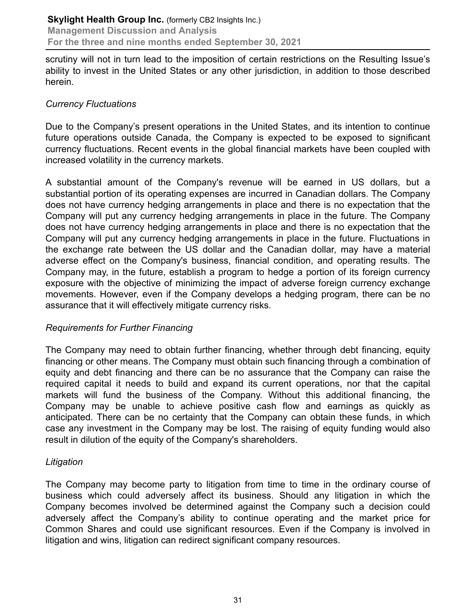scrutiny will not in turn lead to the imposition of certain restrictions on the Resulting Issue's ability to invest in the United States or any other jurisdiction, in addition to those described herein.

# *Currency Fluctuations*

Due to the Company's present operations in the United States, and its intention to continue future operations outside Canada, the Company is expected to be exposed to significant currency fluctuations. Recent events in the global financial markets have been coupled with increased volatility in the currency markets.

A substantial amount of the Company's revenue will be earned in US dollars, but a substantial portion of its operating expenses are incurred in Canadian dollars. The Company does not have currency hedging arrangements in place and there is no expectation that the Company will put any currency hedging arrangements in place in the future. The Company does not have currency hedging arrangements in place and there is no expectation that the Company will put any currency hedging arrangements in place in the future. Fluctuations in the exchange rate between the US dollar and the Canadian dollar, may have a material adverse effect on the Company's business, financial condition, and operating results. The Company may, in the future, establish a program to hedge a portion of its foreign currency exposure with the objective of minimizing the impact of adverse foreign currency exchange movements. However, even if the Company develops a hedging program, there can be no assurance that it will effectively mitigate currency risks.

#### *Requirements for Further Financing*

The Company may need to obtain further financing, whether through debt financing, equity financing or other means. The Company must obtain such financing through a combination of equity and debt financing and there can be no assurance that the Company can raise the required capital it needs to build and expand its current operations, nor that the capital markets will fund the business of the Company. Without this additional financing, the Company may be unable to achieve positive cash flow and earnings as quickly as anticipated. There can be no certainty that the Company can obtain these funds, in which case any investment in the Company may be lost. The raising of equity funding would also result in dilution of the equity of the Company's shareholders.

#### *Litigation*

The Company may become party to litigation from time to time in the ordinary course of business which could adversely affect its business. Should any litigation in which the Company becomes involved be determined against the Company such a decision could adversely affect the Company's ability to continue operating and the market price for Common Shares and could use significant resources. Even if the Company is involved in litigation and wins, litigation can redirect significant company resources.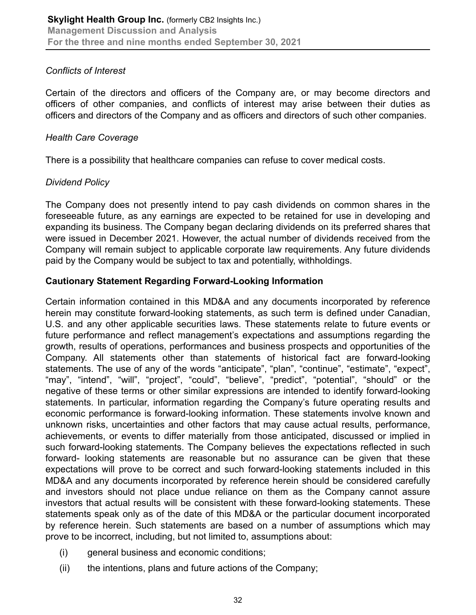# *Conflicts of Interest*

Certain of the directors and officers of the Company are, or may become directors and officers of other companies, and conflicts of interest may arise between their duties as officers and directors of the Company and as officers and directors of such other companies.

#### *Health Care Coverage*

There is a possibility that healthcare companies can refuse to cover medical costs.

# *Dividend Policy*

The Company does not presently intend to pay cash dividends on common shares in the foreseeable future, as any earnings are expected to be retained for use in developing and expanding its business. The Company began declaring dividends on its preferred shares that were issued in December 2021. However, the actual number of dividends received from the Company will remain subject to applicable corporate law requirements. Any future dividends paid by the Company would be subject to tax and potentially, withholdings.

# **Cautionary Statement Regarding Forward-Looking Information**

Certain information contained in this MD&A and any documents incorporated by reference herein may constitute forward-looking statements, as such term is defined under Canadian, U.S. and any other applicable securities laws. These statements relate to future events or future performance and reflect management's expectations and assumptions regarding the growth, results of operations, performances and business prospects and opportunities of the Company. All statements other than statements of historical fact are forward-looking statements. The use of any of the words "anticipate", "plan", "continue", "estimate", "expect", "may", "intend", "will", "project", "could", "believe", "predict", "potential", "should" or the negative of these terms or other similar expressions are intended to identify forward-looking statements. In particular, information regarding the Company's future operating results and economic performance is forward-looking information. These statements involve known and unknown risks, uncertainties and other factors that may cause actual results, performance, achievements, or events to differ materially from those anticipated, discussed or implied in such forward-looking statements. The Company believes the expectations reflected in such forward- looking statements are reasonable but no assurance can be given that these expectations will prove to be correct and such forward-looking statements included in this MD&A and any documents incorporated by reference herein should be considered carefully and investors should not place undue reliance on them as the Company cannot assure investors that actual results will be consistent with these forward-looking statements. These statements speak only as of the date of this MD&A or the particular document incorporated by reference herein. Such statements are based on a number of assumptions which may prove to be incorrect, including, but not limited to, assumptions about:

- (i) general business and economic conditions;
- (ii) the intentions, plans and future actions of the Company;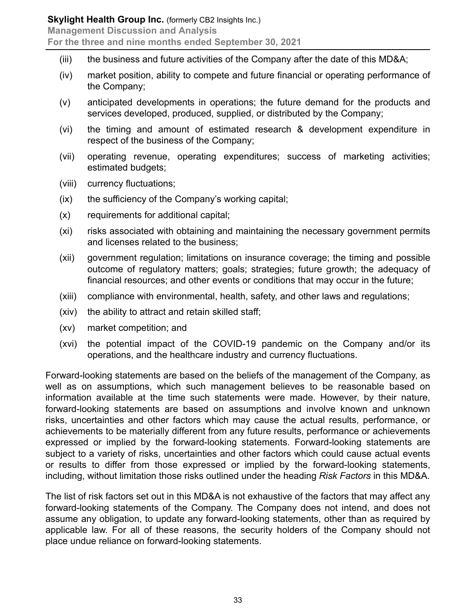- (iii) the business and future activities of the Company after the date of this MD&A;
- (iv) market position, ability to compete and future financial or operating performance of the Company;
- (v) anticipated developments in operations; the future demand for the products and services developed, produced, supplied, or distributed by the Company;
- (vi) the timing and amount of estimated research & development expenditure in respect of the business of the Company;
- (vii) operating revenue, operating expenditures; success of marketing activities; estimated budgets;
- (viii) currency fluctuations;
- (ix) the sufficiency of the Company's working capital;
- (x) requirements for additional capital;
- (xi) risks associated with obtaining and maintaining the necessary government permits and licenses related to the business;
- (xii) government regulation; limitations on insurance coverage; the timing and possible outcome of regulatory matters; goals; strategies; future growth; the adequacy of financial resources; and other events or conditions that may occur in the future;
- (xiii) compliance with environmental, health, safety, and other laws and regulations;
- (xiv) the ability to attract and retain skilled staff;
- (xv) market competition; and
- (xvi) the potential impact of the COVID-19 pandemic on the Company and/or its operations, and the healthcare industry and currency fluctuations.

Forward-looking statements are based on the beliefs of the management of the Company, as well as on assumptions, which such management believes to be reasonable based on information available at the time such statements were made. However, by their nature, forward-looking statements are based on assumptions and involve known and unknown risks, uncertainties and other factors which may cause the actual results, performance, or achievements to be materially different from any future results, performance or achievements expressed or implied by the forward-looking statements. Forward-looking statements are subject to a variety of risks, uncertainties and other factors which could cause actual events or results to differ from those expressed or implied by the forward-looking statements, including, without limitation those risks outlined under the heading *Risk Factors* in this MD&A.

The list of risk factors set out in this MD&A is not exhaustive of the factors that may affect any forward-looking statements of the Company. The Company does not intend, and does not assume any obligation, to update any forward-looking statements, other than as required by applicable law. For all of these reasons, the security holders of the Company should not place undue reliance on forward-looking statements.